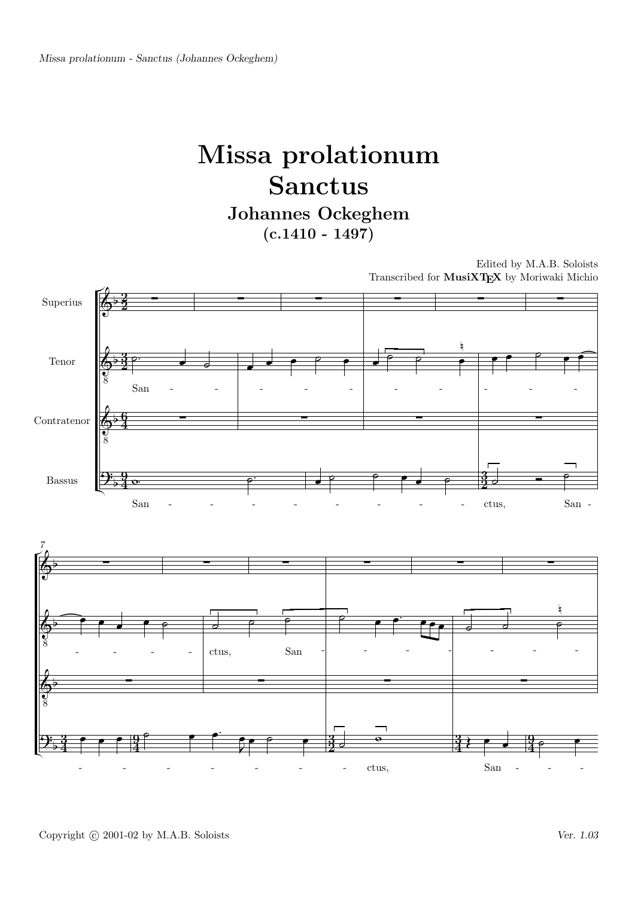## Missa prolationum Sanctus Johannes Ockeghem

 $(c.1410 - 1497)$ 

Edited by M.A.B. Soloists Transcribed for MusiXTEX by Moriwaki Michio



Copyright © 2001-02 by M.A.B. Soloists Ver. 1.03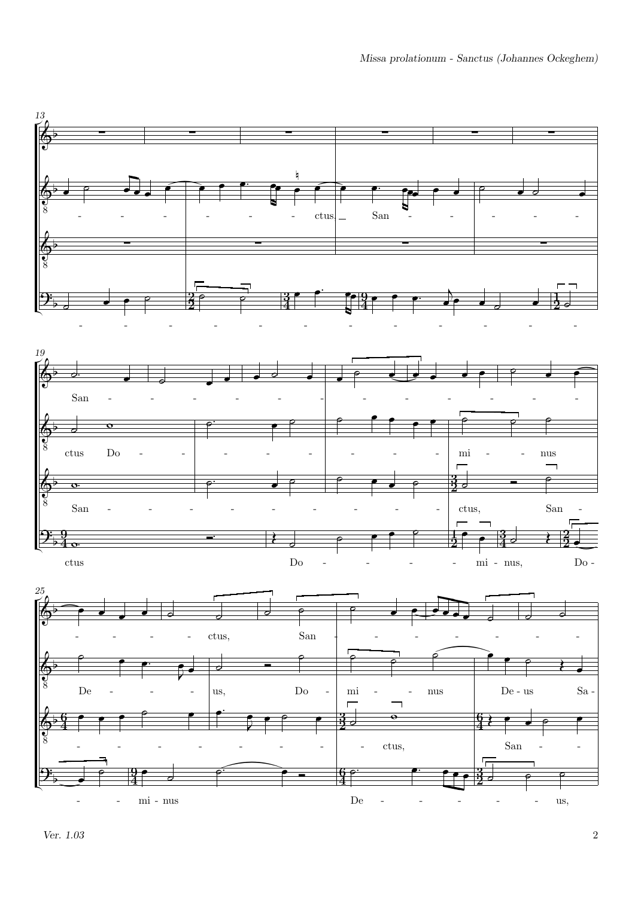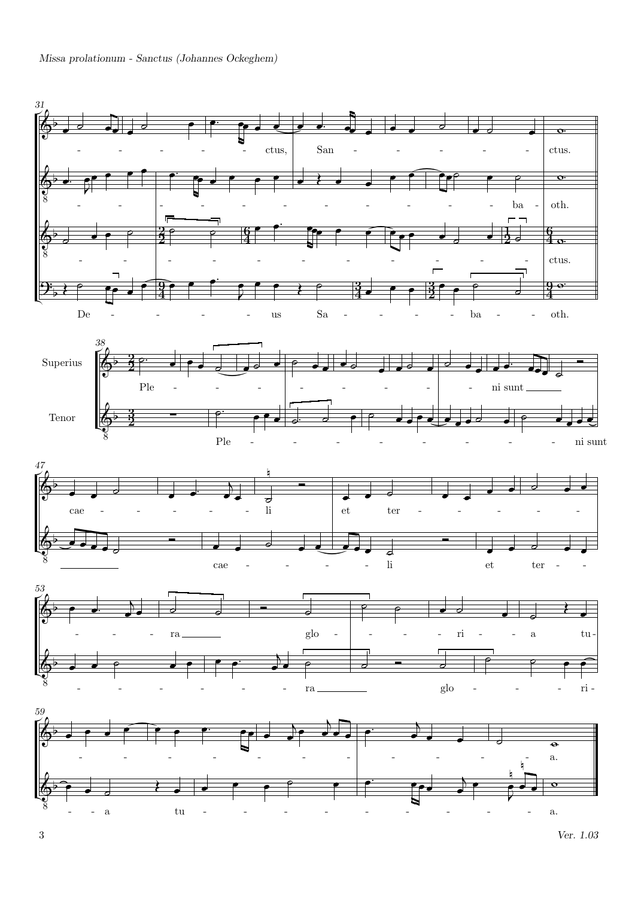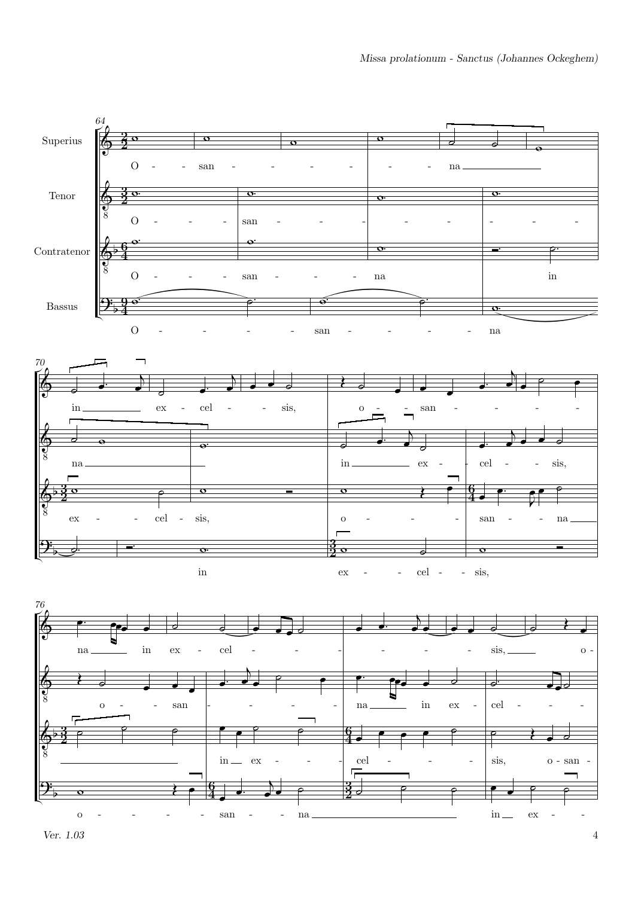